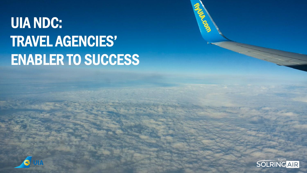#### UIA NDC: TRAVEL AGENCIES' ENABLER TO SUCCESS



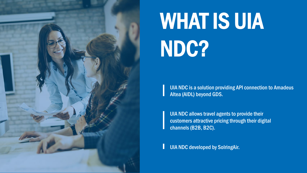

#### WHAT IS UIA NDC?

UIA NDC is a solution providing API connection to Amadeus Altea (AIDL) beyond GDS.

UIA NDC allows travel agents to provide their customers attractive pricing through their digital channels (B2B, B2C).

UIA NDC developed by SolringAir.L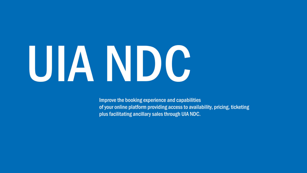# UIA NDC

Improve the booking experience and capabilities of your online platform providing access to availability, pricing, ticketing plus facilitating ancillary sales through UIA NDC.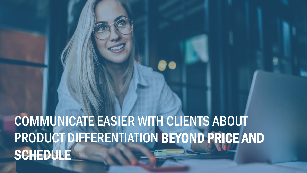#### COMMUNICATE EASIER WITH CLIENTS ABOUT PRODUCT DIFFERENTIATION BEYOND PRICE AND SCHEDULE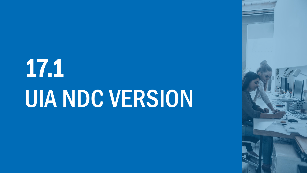## 17.1 UIA NDC VERSION

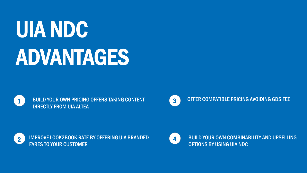#### UIA NDC ADVANTAGES



BUILD YOUR OWN PRICING OFFERS TAKING CONTENT DIRECTLY FROM UIA ALTEA



OFFER COMPATIBLE PRICING AVOIDING GDS FEE



IMPROVE LOOK2BOOK RATE BY OFFERING UIA BRANDED FARES TO YOUR CUSTOMER



BUILD YOUR OWN COMBINABILITY AND UPSELLING OPTIONS BY USING UIA NDC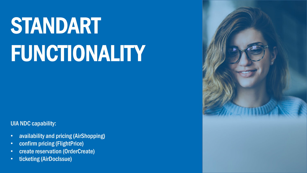## STANDART FUNCTIONALITY

UIA NDC capability:

- availability and pricing (AirShopping)
- confirm pricing (FlightPrice)
- create reservation (OrderCreate)
- ticketing (AirDocIssue)

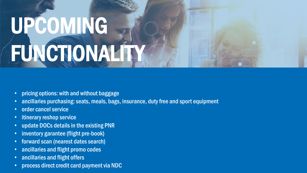## UPCOMING FUNCTIONALITY

- pricing options: with and without baggage
- ancillaries purchasing: seats, meals, bags, insurance, duty free and sport equipment
- order cancel service
- itinerary reshop service
- update DOCs details in the existing PNR
- inventory garantee (flight pre-book)
- forward scan (nearest dates search)
- ancillaries and flight promo codes
- ancillaries and flight offers
- process direct credit card payment via NDC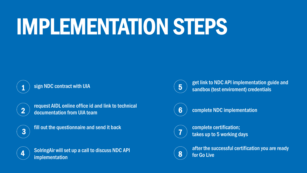#### IMPLEMENTATION STEPS



sign NDC contract with UIA



request AIDL online office id and link to technical documentation from UIA team



fill out the questionnaire and send it back



SolringAir will set up a call to discuss NDC API implementation



get link to NDC API implementation guide and sandbox (test enviroment) credentials



complete NDC implementation



complete certification; takes up to 5 working days



after the successful certification you are ready for Go Live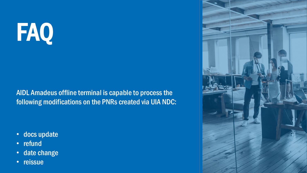## FAQ

AIDL Amadeus offline terminal is capable to process the following modifications on the PNRs created via UIA NDC:

- docs update
- refund
- date change
- reissue

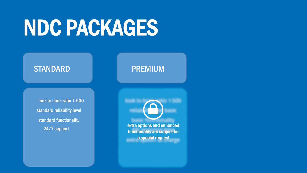#### NDC PACKAGES

#### STANDARD **PREMIUM**

look to book ratio 1:500 standard reliability level standard functionality

**24/7 support extra options and enhanced** functionality are subject for a special request